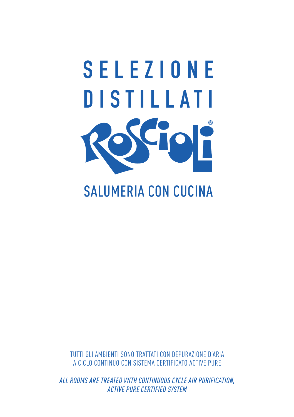# **SELEZIONE DISTILLATI**

# **SALUMERIA CON CUCINA**

TUTTI GLI AMBIENTI SONO TRATTATI CON DEPURAZIONE D'ARIA A CICLO CONTINUO CON SISTEMA CERTIFICATO ACTIVE PURE

*ALL ROOMS ARE TREATED WITH CONTINUOUS CYCLE AIR PURIFICATION, ACTIVE PURE CERTIFIED SYSTEM*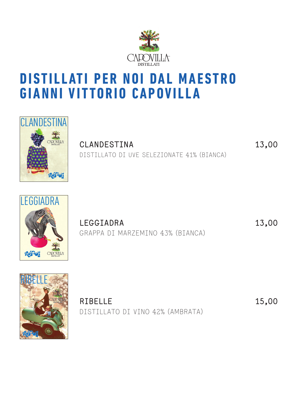

## **DISTILLATI PER NOI DAL MAESTRO GIANNI VITTORIO CAPOVILLA**



**CLANDESTINA 13,00** DISTILLATO DI UVE SELEZIONATE 41% (BIANCA)



**LEGGIADRA 13,00** GRAPPA DI MARZEMINO 43% (BIANCA)



**RIBELLE 15,00** DISTILLATO DI VINO 42% (AMBRATA)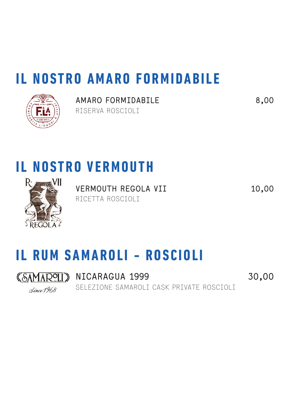# **IL NOSTRO AMARO FORMIDABILE**



**AMARO FORMIDABILE 8,00** RISERVA ROSCIOLI

# **IL NOSTRO VERMOUTH**



**VERMOUTH REGOLA VII 10,00** RICETTA ROSCIOLI

# **IL RUM SAMAROLI - ROSCIOLI**

Since 1968

**KSAMAROLI** NICARAGUA 1999 30,00 SELEZIONE SAMAROLI CASK PRIVATE ROSCIOLI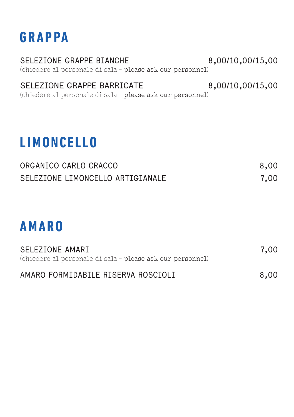## **GRAPPA**

**SELEZIONE GRAPPE BIANCHE 8,00/10,00/15,00** (chiedere al personale di sala - please ask our personnel)

#### **SELEZIONE GRAPPE BARRICATE 8,00/10,00/15,00**

(chiedere al personale di sala - please ask our personnel)

# **LIMONCELLO**

| ORGANICO CARLO CRACCO            | 8,00 |
|----------------------------------|------|
| SELEZIONE LIMONCELLO ARTIGIANALE | 7.00 |

# **AMARO**

| SELEZIONE AMARI                                            | 7.00 |
|------------------------------------------------------------|------|
| (chiedere al personale di sala - please ask our personnel) |      |
| AMARO FORMIDABILE RISERVA ROSCIOLI                         | 8,00 |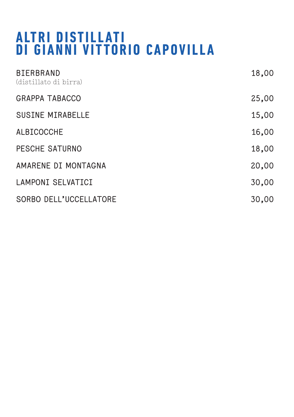## **A LT R I D I ST I L L AT I DI GIANNI VITTORIO CAPOVILLA**

| <b>BIERBRAND</b><br>(distillato di birra) | 18,00 |
|-------------------------------------------|-------|
| <b>GRAPPA TABACCO</b>                     | 25,00 |
| <b>SUSINE MIRABELLE</b>                   | 15,00 |
| <b>ALBICOCCHE</b>                         | 16,00 |
| PESCHE SATURNO                            | 18,00 |
| AMARENE DI MONTAGNA                       | 20,00 |
| <b>LAMPONI SELVATICI</b>                  | 30,00 |
| SORBO DELL'UCCELLATORE                    | 30,00 |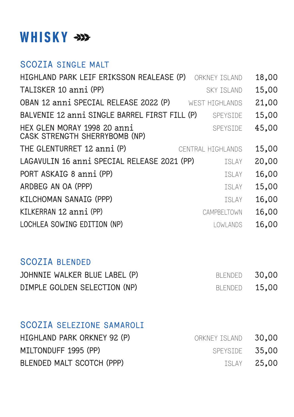## **WHISKY**

#### **SCOZIA SINGLE MALT**

| HIGHLAND PARK LEIF ERIKSSON REALEASE (P)<br>ORKNEY ISLAND                       | 18,00 |
|---------------------------------------------------------------------------------|-------|
| TALISKER 10 anni (PP)<br>SKY TSI AND                                            | 15,00 |
| OBAN 12 anni SPECIAL RELEASE 2022 (P)<br>WEST HTGHI ANDS                        | 21,00 |
| BALVENIE 12 anni SINGLE BARREL FIRST FILL (P)<br>SPEYSIDE                       | 15,00 |
| HEX GLEN MORAY 1998 20 anni<br><b>SPEYSTDE</b><br>CASK STRENGTH SHERRYBOMB (NP) | 45,00 |
| THE GLENTURRET 12 anni (P)<br>CENTRAL HTGHLANDS                                 | 15,00 |
| LAGAVULIN 16 anni SPECIAL RELEASE 2021 (PP)<br><b>ISLAY</b>                     | 20,00 |
| PORT ASKAIG 8 anni (PP)<br>TSI AY                                               | 16,00 |
| ARDBEG AN OA (PPP)<br>TSI AY                                                    | 15,00 |
| KILCHOMAN SANAIG (PPP)<br>TSI AY                                                | 16,00 |
| KILKERRAN 12 anni (PP)<br>CAMPBELTOWN                                           | 16,00 |
| LOCHLEA SOWING EDITION (NP)<br>LOWLANDS                                         | 16,00 |

#### **SCOZIA BLENDED**

| JOHNNIE WALKER BLUE LABEL (P) | BLENDED 30.00 |  |
|-------------------------------|---------------|--|
| DIMPLE GOLDEN SELECTION (NP)  | BLENDED 15.00 |  |

#### **SCOZIA SELEZIONE SAMAROLI**

| HIGHLAND PARK ORKNEY 92 (P) | ORKNEY ISLAND 30.00 |                    |
|-----------------------------|---------------------|--------------------|
| MILTONDUFF 1995 (PP)        | SPEYSIDE 35.00      |                    |
| BLENDED MALT SCOTCH (PPP)   |                     | <b>ISLAY 25.00</b> |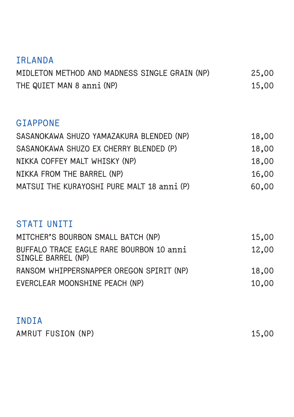#### **IRLANDA**

| MIDLETON METHOD AND MADNESS SINGLE GRAIN (NP) | 25,00 |
|-----------------------------------------------|-------|
| THE QUIET MAN 8 anni (NP)                     | 15.00 |

#### **GIAPPONE**

| SASANOKAWA SHUZO YAMAZAKURA BLENDED (NP)   | 18,00 |
|--------------------------------------------|-------|
| SASANOKAWA SHUZO EX CHERRY BLENDED (P)     | 18,00 |
| NIKKA COFFEY MALT WHISKY (NP)              | 18,00 |
| NIKKA FROM THE BARREL (NP)                 | 16.00 |
| MATSUI THE KURAYOSHI PURE MALT 18 anni (P) | 60.00 |

#### **STATI UNITI**

| MITCHER'S BOURBON SMALL BATCH (NP)                             | 15.00 |
|----------------------------------------------------------------|-------|
| BUFFALO TRACE EAGLE RARE BOURBON 10 anni<br>SINGLE BARREL (NP) | 12.00 |
| RANSOM WHIPPERSNAPPER OREGON SPIRIT (NP)                       | 18,00 |
| EVERCLEAR MOONSHINE PEACH (NP)                                 | 10.00 |

#### **INDIA**

| AMRUT FUSION (NP) | 15,00 |  |
|-------------------|-------|--|
|                   |       |  |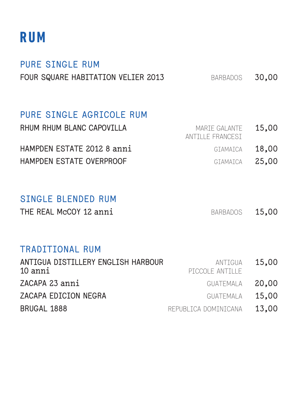## **RUM**

#### **PURE SINGLE RUM FOUR SQUARE HABITATION VELIER 2013** BARBADOS 30,00

#### **PURE SINGLE AGRICOLE RUM**

| RHUM RHUM BLANC CAPOVILLA  | MARIE GALANTE 15.00<br>ANTILLE FRANCEST |  |
|----------------------------|-----------------------------------------|--|
| HAMPDEN ESTATE 2012 8 anni | GIAMAICA 18.00                          |  |
| HAMPDEN ESTATE OVERPROOF   | GIAMAICA 25.00                          |  |

#### **SINGLE BLENDED RUM**

THE REAL McCOY 12 anni BARBADOS 15,00

#### **TRADITIONAL RUM**

| PICCOLE ANTILLE |                                                                                                                   |
|-----------------|-------------------------------------------------------------------------------------------------------------------|
|                 |                                                                                                                   |
|                 |                                                                                                                   |
|                 | 13.00                                                                                                             |
|                 | ANTIGUA DISTILLERY ENGLISH HARBOUR<br>ANTIGUA 15.00<br>GUATEMALA 20.00<br>GUATEMALA 15.00<br>REPUBLICA DOMINICANA |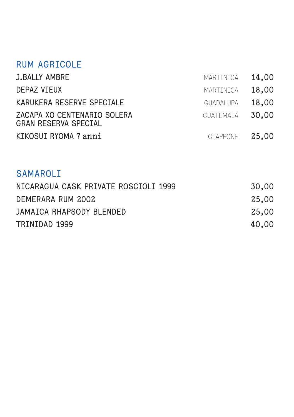#### **RUM AGRICOLE**

| <b>J.BALLY AMBRE</b>                                       | MARTINICA 14.00 |       |
|------------------------------------------------------------|-----------------|-------|
| <b>DEPAZ VIEUX</b>                                         | MARTINICA       | 18.00 |
| KARUKERA RESERVE SPECIALE                                  | GUADAI UPA      | 18.00 |
| ZACAPA XO CENTENARIO SOLERA<br><b>GRAN RESERVA SPECIAL</b> | GUATEMALA 30.00 |       |
| KIKOSUI RYOMA 7 anni                                       | GIAPPONE 25.00  |       |

#### **SAMAROLI**

| NICARAGUA CASK PRIVATE ROSCIOLI 1999 | 30.00 |
|--------------------------------------|-------|
| DEMERARA RUM 2002                    | 25.00 |
| JAMAICA RHAPSODY BLENDED             | 25.00 |
| TRINIDAD 1999                        | 40.00 |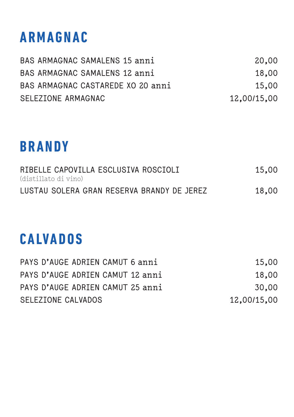# **ARMAGNAC**

| BAS ARMAGNAC SAMALENS 15 anni     | 20,00       |
|-----------------------------------|-------------|
| BAS ARMAGNAC SAMALENS 12 anni     | 18,00       |
| BAS ARMAGNAC CASTAREDE XO 20 anni | 15.00       |
| SELEZIONE ARMAGNAC                | 12,00/15,00 |

# **BRANDY**

| RIBELLE CAPOVILLA ESCLUSIVA ROSCIOLI       | 15.00 |
|--------------------------------------------|-------|
| (distillato di vino)                       |       |
| LUSTAU SOLERA GRAN RESERVA BRANDY DE JEREZ | 18,00 |

# **CALVADOS**

| SELEZIONE CALVADOS               | 12,00/15,00 |
|----------------------------------|-------------|
| PAYS D'AUGE ADRIEN CAMUT 25 anni | 30.00       |
| PAYS D'AUGE ADRIEN CAMUT 12 anni | 18,00       |
| PAYS D'AUGE ADRIEN CAMUT 6 anni  | 15.00       |